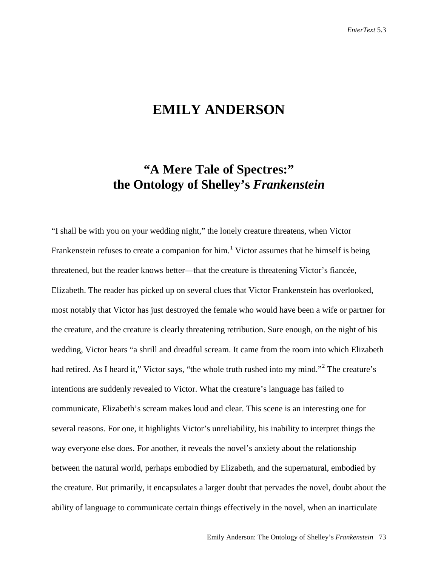## **EMILY ANDERSON**

## **"A Mere Tale of Spectres:" the Ontology of Shelley's** *Frankenstein*

"I shall be with you on your wedding night," the lonely creature threatens, when Victor Frankenstein refuses to create a companion for him.<sup>[1](#page-21-0)</sup> Victor assumes that he himself is being threatened, but the reader knows better—that the creature is threatening Victor's fiancée, Elizabeth. The reader has picked up on several clues that Victor Frankenstein has overlooked, most notably that Victor has just destroyed the female who would have been a wife or partner for the creature, and the creature is clearly threatening retribution. Sure enough, on the night of his wedding, Victor hears "a shrill and dreadful scream. It came from the room into which Elizabeth had retired. As I heard it," Victor says, "the whole truth rushed into my mind."<sup>[2](#page-21-1)</sup> The creature's intentions are suddenly revealed to Victor. What the creature's language has failed to communicate, Elizabeth's scream makes loud and clear. This scene is an interesting one for several reasons. For one, it highlights Victor's unreliability, his inability to interpret things the way everyone else does. For another, it reveals the novel's anxiety about the relationship between the natural world, perhaps embodied by Elizabeth, and the supernatural, embodied by the creature. But primarily, it encapsulates a larger doubt that pervades the novel, doubt about the ability of language to communicate certain things effectively in the novel, when an inarticulate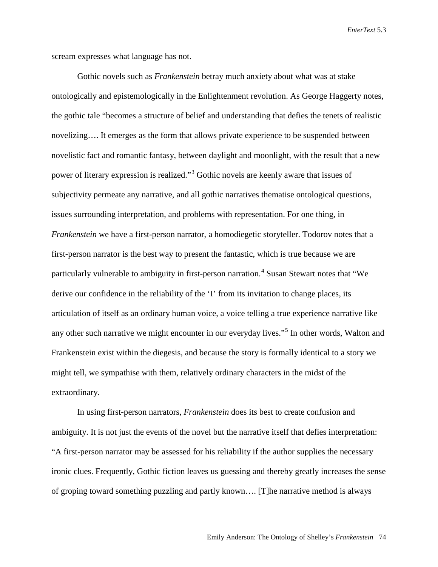scream expresses what language has not.

Gothic novels such as *Frankenstein* betray much anxiety about what was at stake ontologically and epistemologically in the Enlightenment revolution. As George Haggerty notes, the gothic tale "becomes a structure of belief and understanding that defies the tenets of realistic novelizing…. It emerges as the form that allows private experience to be suspended between novelistic fact and romantic fantasy, between daylight and moonlight, with the result that a new power of literary expression is realized."[3](#page-22-0) Gothic novels are keenly aware that issues of subjectivity permeate any narrative, and all gothic narratives thematise ontological questions, issues surrounding interpretation, and problems with representation. For one thing, in *Frankenstein* we have a first-person narrator, a homodiegetic storyteller. Todorov notes that a first-person narrator is the best way to present the fantastic, which is true because we are particularly vulnerable to ambiguity in first-person narration.<sup>[4](#page-22-1)</sup> Susan Stewart notes that "We derive our confidence in the reliability of the 'I' from its invitation to change places, its articulation of itself as an ordinary human voice, a voice telling a true experience narrative like any other such narrative we might encounter in our everyday lives."[5](#page-22-2) In other words, Walton and Frankenstein exist within the diegesis, and because the story is formally identical to a story we might tell, we sympathise with them, relatively ordinary characters in the midst of the extraordinary.

In using first-person narrators, *Frankenstein* does its best to create confusion and ambiguity. It is not just the events of the novel but the narrative itself that defies interpretation: "A first-person narrator may be assessed for his reliability if the author supplies the necessary ironic clues. Frequently, Gothic fiction leaves us guessing and thereby greatly increases the sense of groping toward something puzzling and partly known…. [T]he narrative method is always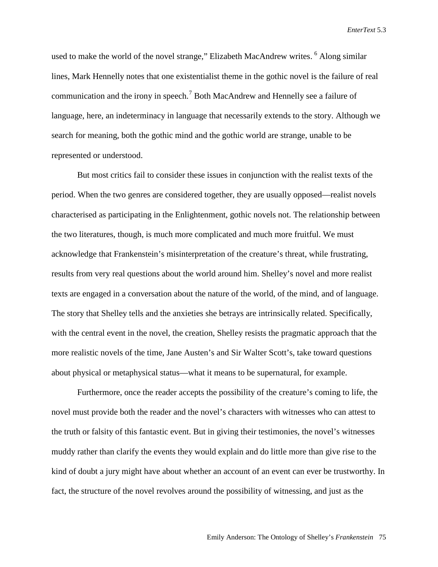used to make the world of the novel strange," Elizabeth MacAndrew writes. <sup>[6](#page-23-0)</sup> Along similar lines, Mark Hennelly notes that one existentialist theme in the gothic novel is the failure of real communication and the irony in speech.[7](#page-23-1) Both MacAndrew and Hennelly see a failure of language, here, an indeterminacy in language that necessarily extends to the story. Although we search for meaning, both the gothic mind and the gothic world are strange, unable to be represented or understood.

But most critics fail to consider these issues in conjunction with the realist texts of the period. When the two genres are considered together, they are usually opposed—realist novels characterised as participating in the Enlightenment, gothic novels not. The relationship between the two literatures, though, is much more complicated and much more fruitful. We must acknowledge that Frankenstein's misinterpretation of the creature's threat, while frustrating, results from very real questions about the world around him. Shelley's novel and more realist texts are engaged in a conversation about the nature of the world, of the mind, and of language. The story that Shelley tells and the anxieties she betrays are intrinsically related. Specifically, with the central event in the novel, the creation, Shelley resists the pragmatic approach that the more realistic novels of the time, Jane Austen's and Sir Walter Scott's, take toward questions about physical or metaphysical status—what it means to be supernatural, for example.

Furthermore, once the reader accepts the possibility of the creature's coming to life, the novel must provide both the reader and the novel's characters with witnesses who can attest to the truth or falsity of this fantastic event. But in giving their testimonies, the novel's witnesses muddy rather than clarify the events they would explain and do little more than give rise to the kind of doubt a jury might have about whether an account of an event can ever be trustworthy. In fact, the structure of the novel revolves around the possibility of witnessing, and just as the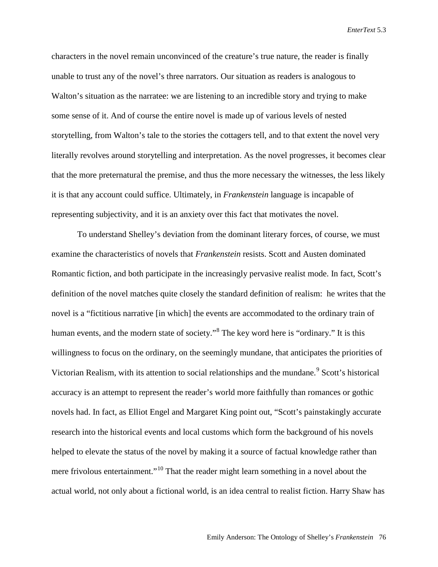characters in the novel remain unconvinced of the creature's true nature, the reader is finally unable to trust any of the novel's three narrators. Our situation as readers is analogous to Walton's situation as the narratee: we are listening to an incredible story and trying to make some sense of it. And of course the entire novel is made up of various levels of nested storytelling, from Walton's tale to the stories the cottagers tell, and to that extent the novel very literally revolves around storytelling and interpretation. As the novel progresses, it becomes clear that the more preternatural the premise, and thus the more necessary the witnesses, the less likely it is that any account could suffice. Ultimately, in *Frankenstein* language is incapable of representing subjectivity, and it is an anxiety over this fact that motivates the novel.

To understand Shelley's deviation from the dominant literary forces, of course, we must examine the characteristics of novels that *Frankenstein* resists. Scott and Austen dominated Romantic fiction, and both participate in the increasingly pervasive realist mode. In fact, Scott's definition of the novel matches quite closely the standard definition of realism: he writes that the novel is a "fictitious narrative [in which] the events are accommodated to the ordinary train of human events, and the modern state of society."[8](#page-23-2) The key word here is "ordinary." It is this willingness to focus on the ordinary, on the seemingly mundane, that anticipates the priorities of Victorian Realism, with its attention to social relationships and the mundane.<sup>[9](#page-23-3)</sup> Scott's historical accuracy is an attempt to represent the reader's world more faithfully than romances or gothic novels had. In fact, as Elliot Engel and Margaret King point out, "Scott's painstakingly accurate research into the historical events and local customs which form the background of his novels helped to elevate the status of the novel by making it a source of factual knowledge rather than mere frivolous entertainment."<sup>[10](#page-23-4)</sup> That the reader might learn something in a novel about the actual world, not only about a fictional world, is an idea central to realist fiction. Harry Shaw has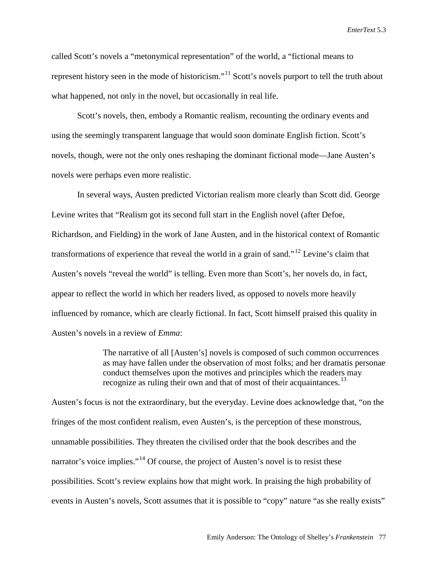called Scott's novels a "metonymical representation" of the world, a "fictional means to represent history seen in the mode of historicism."<sup>[11](#page-23-5)</sup> Scott's novels purport to tell the truth about what happened, not only in the novel, but occasionally in real life.

Scott's novels, then, embody a Romantic realism, recounting the ordinary events and using the seemingly transparent language that would soon dominate English fiction. Scott's novels, though, were not the only ones reshaping the dominant fictional mode—Jane Austen's novels were perhaps even more realistic.

In several ways, Austen predicted Victorian realism more clearly than Scott did. George Levine writes that "Realism got its second full start in the English novel (after Defoe, Richardson, and Fielding) in the work of Jane Austen, and in the historical context of Romantic transformations of experience that reveal the world in a grain of sand."[12](#page-23-6) Levine's claim that Austen's novels "reveal the world" is telling. Even more than Scott's, her novels do, in fact, appear to reflect the world in which her readers lived, as opposed to novels more heavily influenced by romance, which are clearly fictional. In fact, Scott himself praised this quality in Austen's novels in a review of *Emma*:

> The narrative of all [Austen's] novels is composed of such common occurrences as may have fallen under the observation of most folks; and her dramatis personae conduct themselves upon the motives and principles which the readers may recognize as ruling their own and that of most of their acquaintances.<sup>[13](#page-23-7)</sup>

Austen's focus is not the extraordinary, but the everyday. Levine does acknowledge that, "on the fringes of the most confident realism, even Austen's, is the perception of these monstrous, unnamable possibilities. They threaten the civilised order that the book describes and the narrator's voice implies."<sup>[14](#page-23-8)</sup> Of course, the project of Austen's novel is to resist these possibilities. Scott's review explains how that might work. In praising the high probability of events in Austen's novels, Scott assumes that it is possible to "copy" nature "as she really exists"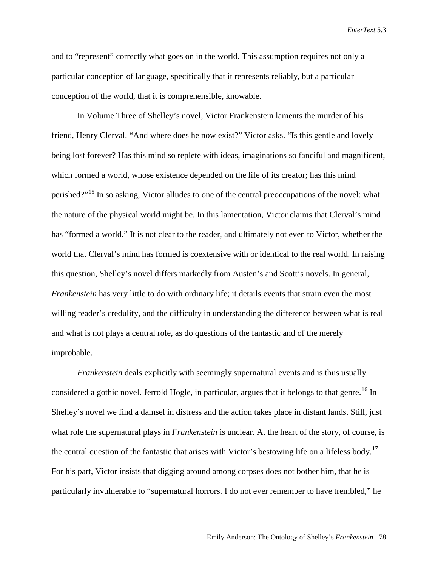and to "represent" correctly what goes on in the world. This assumption requires not only a particular conception of language, specifically that it represents reliably, but a particular conception of the world, that it is comprehensible, knowable.

In Volume Three of Shelley's novel, Victor Frankenstein laments the murder of his friend, Henry Clerval. "And where does he now exist?" Victor asks. "Is this gentle and lovely being lost forever? Has this mind so replete with ideas, imaginations so fanciful and magnificent, which formed a world, whose existence depended on the life of its creator; has this mind perished?"[15](#page-23-9) In so asking, Victor alludes to one of the central preoccupations of the novel: what the nature of the physical world might be. In this lamentation, Victor claims that Clerval's mind has "formed a world." It is not clear to the reader, and ultimately not even to Victor, whether the world that Clerval's mind has formed is coextensive with or identical to the real world. In raising this question, Shelley's novel differs markedly from Austen's and Scott's novels. In general, *Frankenstein* has very little to do with ordinary life; it details events that strain even the most willing reader's credulity, and the difficulty in understanding the difference between what is real and what is not plays a central role, as do questions of the fantastic and of the merely improbable.

*Frankenstein* deals explicitly with seemingly supernatural events and is thus usually considered a gothic novel. Jerrold Hogle, in particular, argues that it belongs to that genre.<sup>[16](#page-23-10)</sup> In Shelley's novel we find a damsel in distress and the action takes place in distant lands. Still, just what role the supernatural plays in *Frankenstein* is unclear. At the heart of the story, of course, is the central question of the fantastic that arises with Victor's bestowing life on a lifeless body.<sup>[17](#page-23-11)</sup> For his part, Victor insists that digging around among corpses does not bother him, that he is particularly invulnerable to "supernatural horrors. I do not ever remember to have trembled," he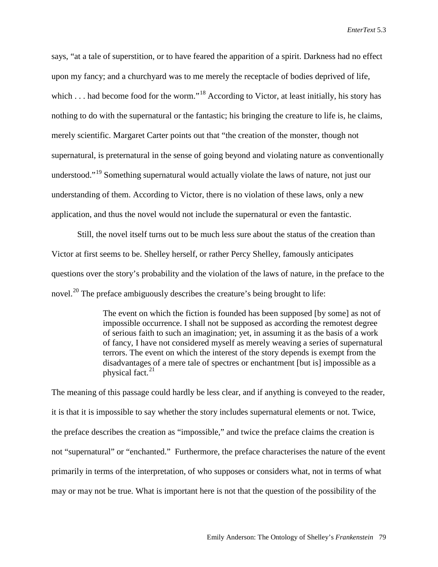says, "at a tale of superstition, or to have feared the apparition of a spirit. Darkness had no effect upon my fancy; and a churchyard was to me merely the receptacle of bodies deprived of life, which . . . had become food for the worm."<sup>[18](#page-23-12)</sup> According to Victor, at least initially, his story has nothing to do with the supernatural or the fantastic; his bringing the creature to life is, he claims, merely scientific. Margaret Carter points out that "the creation of the monster, though not supernatural, is preternatural in the sense of going beyond and violating nature as conventionally understood."<sup>[19](#page-23-13)</sup> Something supernatural would actually violate the laws of nature, not just our understanding of them. According to Victor, there is no violation of these laws, only a new application, and thus the novel would not include the supernatural or even the fantastic.

Still, the novel itself turns out to be much less sure about the status of the creation than Victor at first seems to be. Shelley herself, or rather Percy Shelley, famously anticipates questions over the story's probability and the violation of the laws of nature, in the preface to the novel.<sup>[20](#page-23-14)</sup> The preface ambiguously describes the creature's being brought to life:

> The event on which the fiction is founded has been supposed [by some] as not of impossible occurrence. I shall not be supposed as according the remotest degree of serious faith to such an imagination; yet, in assuming it as the basis of a work of fancy, I have not considered myself as merely weaving a series of supernatural terrors. The event on which the interest of the story depends is exempt from the disadvantages of a mere tale of spectres or enchantment [but is] impossible as a physical fact. $21$

The meaning of this passage could hardly be less clear, and if anything is conveyed to the reader, it is that it is impossible to say whether the story includes supernatural elements or not. Twice, the preface describes the creation as "impossible," and twice the preface claims the creation is not "supernatural" or "enchanted." Furthermore, the preface characterises the nature of the event primarily in terms of the interpretation, of who supposes or considers what, not in terms of what may or may not be true. What is important here is not that the question of the possibility of the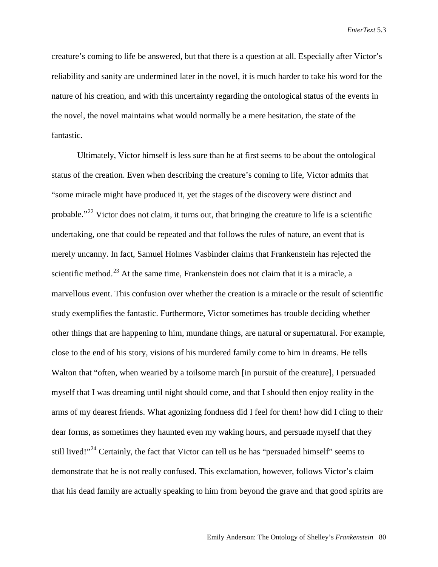creature's coming to life be answered, but that there is a question at all. Especially after Victor's reliability and sanity are undermined later in the novel, it is much harder to take his word for the nature of his creation, and with this uncertainty regarding the ontological status of the events in the novel, the novel maintains what would normally be a mere hesitation, the state of the fantastic.

Ultimately, Victor himself is less sure than he at first seems to be about the ontological status of the creation. Even when describing the creature's coming to life, Victor admits that "some miracle might have produced it, yet the stages of the discovery were distinct and probable."<sup>[22](#page-23-16)</sup> Victor does not claim, it turns out, that bringing the creature to life is a scientific undertaking, one that could be repeated and that follows the rules of nature, an event that is merely uncanny. In fact, Samuel Holmes Vasbinder claims that Frankenstein has rejected the scientific method.<sup>[23](#page-23-17)</sup> At the same time, Frankenstein does not claim that it is a miracle, a marvellous event. This confusion over whether the creation is a miracle or the result of scientific study exemplifies the fantastic. Furthermore, Victor sometimes has trouble deciding whether other things that are happening to him, mundane things, are natural or supernatural. For example, close to the end of his story, visions of his murdered family come to him in dreams. He tells Walton that "often, when wearied by a toilsome march [in pursuit of the creature], I persuaded myself that I was dreaming until night should come, and that I should then enjoy reality in the arms of my dearest friends. What agonizing fondness did I feel for them! how did I cling to their dear forms, as sometimes they haunted even my waking hours, and persuade myself that they still lived!"<sup>[24](#page-23-18)</sup> Certainly, the fact that Victor can tell us he has "persuaded himself" seems to demonstrate that he is not really confused. This exclamation, however, follows Victor's claim that his dead family are actually speaking to him from beyond the grave and that good spirits are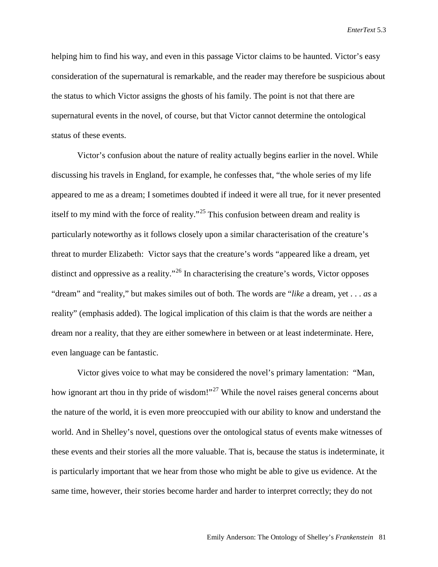helping him to find his way, and even in this passage Victor claims to be haunted. Victor's easy consideration of the supernatural is remarkable, and the reader may therefore be suspicious about the status to which Victor assigns the ghosts of his family. The point is not that there are supernatural events in the novel, of course, but that Victor cannot determine the ontological status of these events.

Victor's confusion about the nature of reality actually begins earlier in the novel. While discussing his travels in England, for example, he confesses that, "the whole series of my life appeared to me as a dream; I sometimes doubted if indeed it were all true, for it never presented itself to my mind with the force of reality."[25](#page-23-19) This confusion between dream and reality is particularly noteworthy as it follows closely upon a similar characterisation of the creature's threat to murder Elizabeth: Victor says that the creature's words "appeared like a dream, yet distinct and oppressive as a reality.<sup>"[26](#page-23-20)</sup> In characterising the creature's words, Victor opposes "dream" and "reality," but makes similes out of both. The words are "*like* a dream, yet . . . *as* a reality" (emphasis added). The logical implication of this claim is that the words are neither a dream nor a reality, that they are either somewhere in between or at least indeterminate. Here, even language can be fantastic.

Victor gives voice to what may be considered the novel's primary lamentation: "Man, how ignorant art thou in thy pride of wisdom!"<sup>[27](#page-23-21)</sup> While the novel raises general concerns about the nature of the world, it is even more preoccupied with our ability to know and understand the world. And in Shelley's novel, questions over the ontological status of events make witnesses of these events and their stories all the more valuable. That is, because the status is indeterminate, it is particularly important that we hear from those who might be able to give us evidence. At the same time, however, their stories become harder and harder to interpret correctly; they do not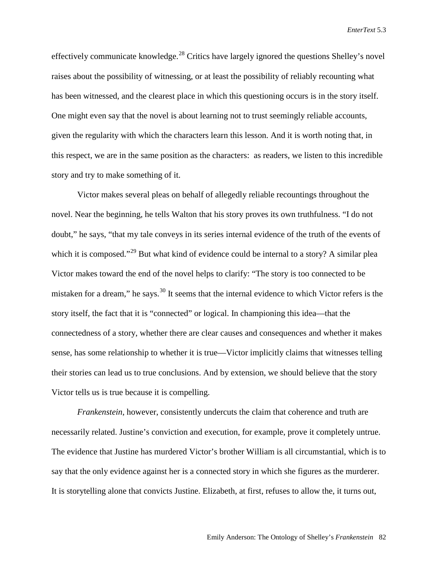effectively communicate knowledge.<sup>[28](#page-23-22)</sup> Critics have largely ignored the questions Shelley's novel raises about the possibility of witnessing, or at least the possibility of reliably recounting what has been witnessed, and the clearest place in which this questioning occurs is in the story itself. One might even say that the novel is about learning not to trust seemingly reliable accounts, given the regularity with which the characters learn this lesson. And it is worth noting that, in this respect, we are in the same position as the characters: as readers, we listen to this incredible story and try to make something of it.

Victor makes several pleas on behalf of allegedly reliable recountings throughout the novel. Near the beginning, he tells Walton that his story proves its own truthfulness. "I do not doubt," he says, "that my tale conveys in its series internal evidence of the truth of the events of which it is composed."<sup>[29](#page-23-23)</sup> But what kind of evidence could be internal to a story? A similar plea Victor makes toward the end of the novel helps to clarify: "The story is too connected to be mistaken for a dream," he says.<sup>[30](#page-23-24)</sup> It seems that the internal evidence to which Victor refers is the story itself, the fact that it is "connected" or logical. In championing this idea—that the connectedness of a story, whether there are clear causes and consequences and whether it makes sense, has some relationship to whether it is true—Victor implicitly claims that witnesses telling their stories can lead us to true conclusions. And by extension, we should believe that the story Victor tells us is true because it is compelling.

*Frankenstein*, however, consistently undercuts the claim that coherence and truth are necessarily related. Justine's conviction and execution, for example, prove it completely untrue. The evidence that Justine has murdered Victor's brother William is all circumstantial, which is to say that the only evidence against her is a connected story in which she figures as the murderer. It is storytelling alone that convicts Justine. Elizabeth, at first, refuses to allow the, it turns out,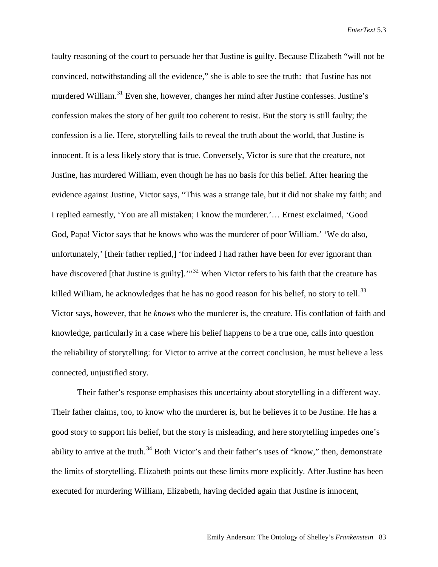faulty reasoning of the court to persuade her that Justine is guilty. Because Elizabeth "will not be convinced, notwithstanding all the evidence," she is able to see the truth: that Justine has not murdered William.<sup>[31](#page-23-25)</sup> Even she, however, changes her mind after Justine confesses. Justine's confession makes the story of her guilt too coherent to resist. But the story is still faulty; the confession is a lie. Here, storytelling fails to reveal the truth about the world, that Justine is innocent. It is a less likely story that is true. Conversely, Victor is sure that the creature, not Justine, has murdered William, even though he has no basis for this belief. After hearing the evidence against Justine, Victor says, "This was a strange tale, but it did not shake my faith; and I replied earnestly, 'You are all mistaken; I know the murderer.'… Ernest exclaimed, 'Good God, Papa! Victor says that he knows who was the murderer of poor William.' 'We do also, unfortunately,' [their father replied,] 'for indeed I had rather have been for ever ignorant than have discovered [that Justine is guilty].<sup>"[32](#page-23-26)</sup> When Victor refers to his faith that the creature has killed William, he acknowledges that he has no good reason for his belief, no story to tell.<sup>[33](#page-23-27)</sup> Victor says, however, that he *knows* who the murderer is, the creature. His conflation of faith and knowledge, particularly in a case where his belief happens to be a true one, calls into question the reliability of storytelling: for Victor to arrive at the correct conclusion, he must believe a less connected, unjustified story.

Their father's response emphasises this uncertainty about storytelling in a different way. Their father claims, too, to know who the murderer is, but he believes it to be Justine. He has a good story to support his belief, but the story is misleading, and here storytelling impedes one's ability to arrive at the truth.<sup>[34](#page-23-28)</sup> Both Victor's and their father's uses of "know," then, demonstrate the limits of storytelling. Elizabeth points out these limits more explicitly. After Justine has been executed for murdering William, Elizabeth, having decided again that Justine is innocent,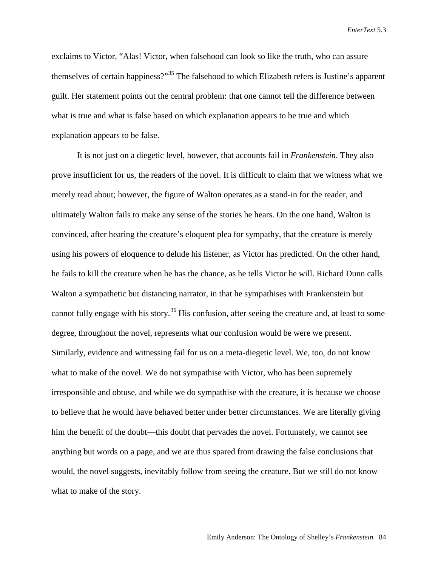exclaims to Victor, "Alas! Victor, when falsehood can look so like the truth, who can assure themselves of certain happiness?"[35](#page-23-29) The falsehood to which Elizabeth refers is Justine's apparent guilt. Her statement points out the central problem: that one cannot tell the difference between what is true and what is false based on which explanation appears to be true and which explanation appears to be false.

It is not just on a diegetic level, however, that accounts fail in *Frankenstein*. They also prove insufficient for us, the readers of the novel. It is difficult to claim that we witness what we merely read about; however, the figure of Walton operates as a stand-in for the reader, and ultimately Walton fails to make any sense of the stories he hears. On the one hand, Walton is convinced, after hearing the creature's eloquent plea for sympathy, that the creature is merely using his powers of eloquence to delude his listener, as Victor has predicted. On the other hand, he fails to kill the creature when he has the chance, as he tells Victor he will. Richard Dunn calls Walton a sympathetic but distancing narrator, in that he sympathises with Frankenstein but cannot fully engage with his story.<sup>[36](#page-23-30)</sup> His confusion, after seeing the creature and, at least to some degree, throughout the novel, represents what our confusion would be were we present. Similarly, evidence and witnessing fail for us on a meta-diegetic level. We, too, do not know what to make of the novel. We do not sympathise with Victor, who has been supremely irresponsible and obtuse, and while we do sympathise with the creature, it is because we choose to believe that he would have behaved better under better circumstances. We are literally giving him the benefit of the doubt—this doubt that pervades the novel. Fortunately, we cannot see anything but words on a page, and we are thus spared from drawing the false conclusions that would, the novel suggests, inevitably follow from seeing the creature. But we still do not know what to make of the story.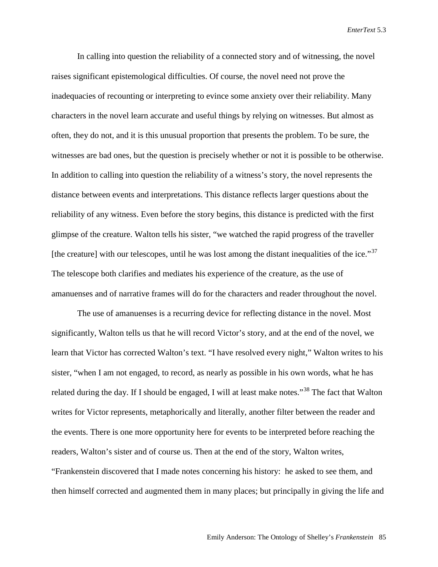In calling into question the reliability of a connected story and of witnessing, the novel raises significant epistemological difficulties. Of course, the novel need not prove the inadequacies of recounting or interpreting to evince some anxiety over their reliability. Many characters in the novel learn accurate and useful things by relying on witnesses. But almost as often, they do not, and it is this unusual proportion that presents the problem. To be sure, the witnesses are bad ones, but the question is precisely whether or not it is possible to be otherwise. In addition to calling into question the reliability of a witness's story, the novel represents the distance between events and interpretations. This distance reflects larger questions about the reliability of any witness. Even before the story begins, this distance is predicted with the first glimpse of the creature. Walton tells his sister, "we watched the rapid progress of the traveller [the creature] with our telescopes, until he was lost among the distant inequalities of the ice." $37$ The telescope both clarifies and mediates his experience of the creature, as the use of amanuenses and of narrative frames will do for the characters and reader throughout the novel.

The use of amanuenses is a recurring device for reflecting distance in the novel. Most significantly, Walton tells us that he will record Victor's story, and at the end of the novel, we learn that Victor has corrected Walton's text. "I have resolved every night," Walton writes to his sister, "when I am not engaged, to record, as nearly as possible in his own words, what he has related during the day. If I should be engaged, I will at least make notes."<sup>[38](#page-23-32)</sup> The fact that Walton writes for Victor represents, metaphorically and literally, another filter between the reader and the events. There is one more opportunity here for events to be interpreted before reaching the readers, Walton's sister and of course us. Then at the end of the story, Walton writes, "Frankenstein discovered that I made notes concerning his history: he asked to see them, and then himself corrected and augmented them in many places; but principally in giving the life and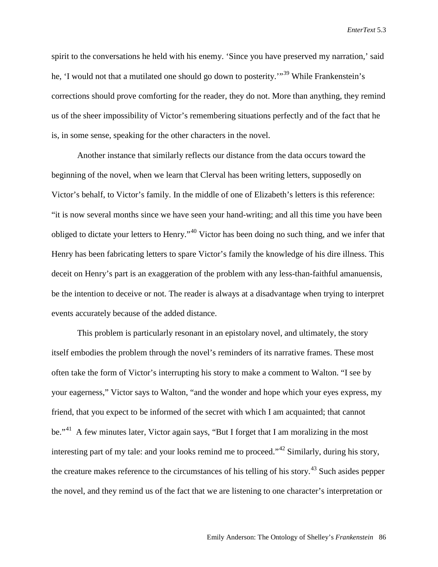spirit to the conversations he held with his enemy. 'Since you have preserved my narration,' said he, 'I would not that a mutilated one should go down to posterity.'"<sup>[39](#page-23-33)</sup> While Frankenstein's corrections should prove comforting for the reader, they do not. More than anything, they remind us of the sheer impossibility of Victor's remembering situations perfectly and of the fact that he is, in some sense, speaking for the other characters in the novel.

Another instance that similarly reflects our distance from the data occurs toward the beginning of the novel, when we learn that Clerval has been writing letters, supposedly on Victor's behalf, to Victor's family. In the middle of one of Elizabeth's letters is this reference: "it is now several months since we have seen your hand-writing; and all this time you have been obliged to dictate your letters to Henry."[40](#page-23-34) Victor has been doing no such thing, and we infer that Henry has been fabricating letters to spare Victor's family the knowledge of his dire illness. This deceit on Henry's part is an exaggeration of the problem with any less-than-faithful amanuensis, be the intention to deceive or not. The reader is always at a disadvantage when trying to interpret events accurately because of the added distance.

This problem is particularly resonant in an epistolary novel, and ultimately, the story itself embodies the problem through the novel's reminders of its narrative frames. These most often take the form of Victor's interrupting his story to make a comment to Walton. "I see by your eagerness," Victor says to Walton, "and the wonder and hope which your eyes express, my friend, that you expect to be informed of the secret with which I am acquainted; that cannot be."<sup>[41](#page-23-35)</sup> A few minutes later, Victor again says, "But I forget that I am moralizing in the most interesting part of my tale: and your looks remind me to proceed."<sup>[42](#page-23-36)</sup> Similarly, during his story, the creature makes reference to the circumstances of his telling of his story.<sup>[43](#page-23-37)</sup> Such asides pepper the novel, and they remind us of the fact that we are listening to one character's interpretation or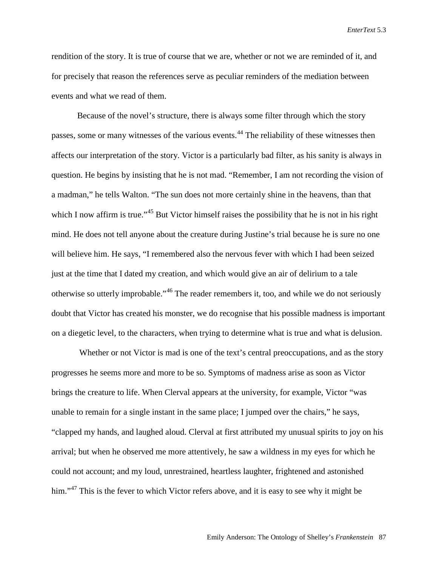rendition of the story. It is true of course that we are, whether or not we are reminded of it, and for precisely that reason the references serve as peculiar reminders of the mediation between events and what we read of them.

Because of the novel's structure, there is always some filter through which the story passes, some or many witnesses of the various events.<sup>[44](#page-23-38)</sup> The reliability of these witnesses then affects our interpretation of the story. Victor is a particularly bad filter, as his sanity is always in question. He begins by insisting that he is not mad. "Remember, I am not recording the vision of a madman," he tells Walton. "The sun does not more certainly shine in the heavens, than that which I now affirm is true."<sup>[45](#page-23-39)</sup> But Victor himself raises the possibility that he is not in his right mind. He does not tell anyone about the creature during Justine's trial because he is sure no one will believe him. He says, "I remembered also the nervous fever with which I had been seized just at the time that I dated my creation, and which would give an air of delirium to a tale otherwise so utterly improbable."[46](#page-23-40) The reader remembers it, too, and while we do not seriously doubt that Victor has created his monster, we do recognise that his possible madness is important on a diegetic level, to the characters, when trying to determine what is true and what is delusion.

Whether or not Victor is mad is one of the text's central preoccupations, and as the story progresses he seems more and more to be so. Symptoms of madness arise as soon as Victor brings the creature to life. When Clerval appears at the university, for example, Victor "was unable to remain for a single instant in the same place; I jumped over the chairs," he says, "clapped my hands, and laughed aloud. Clerval at first attributed my unusual spirits to joy on his arrival; but when he observed me more attentively, he saw a wildness in my eyes for which he could not account; and my loud, unrestrained, heartless laughter, frightened and astonished him."<sup>[47](#page-23-41)</sup> This is the fever to which Victor refers above, and it is easy to see why it might be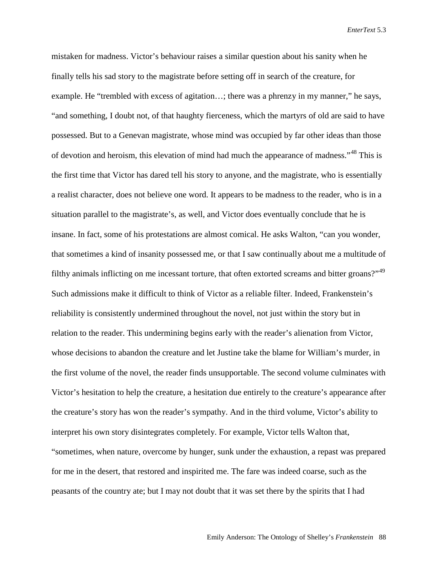mistaken for madness. Victor's behaviour raises a similar question about his sanity when he finally tells his sad story to the magistrate before setting off in search of the creature, for example. He "trembled with excess of agitation…; there was a phrenzy in my manner," he says, "and something, I doubt not, of that haughty fierceness, which the martyrs of old are said to have possessed. But to a Genevan magistrate, whose mind was occupied by far other ideas than those of devotion and heroism, this elevation of mind had much the appearance of madness."<sup>[48](#page-23-42)</sup> This is the first time that Victor has dared tell his story to anyone, and the magistrate, who is essentially a realist character, does not believe one word. It appears to be madness to the reader, who is in a situation parallel to the magistrate's, as well, and Victor does eventually conclude that he is insane. In fact, some of his protestations are almost comical. He asks Walton, "can you wonder, that sometimes a kind of insanity possessed me, or that I saw continually about me a multitude of filthy animals inflicting on me incessant torture, that often extorted screams and bitter groans?"<sup>[49](#page-23-43)</sup> Such admissions make it difficult to think of Victor as a reliable filter. Indeed, Frankenstein's reliability is consistently undermined throughout the novel, not just within the story but in relation to the reader. This undermining begins early with the reader's alienation from Victor, whose decisions to abandon the creature and let Justine take the blame for William's murder, in the first volume of the novel, the reader finds unsupportable. The second volume culminates with Victor's hesitation to help the creature, a hesitation due entirely to the creature's appearance after the creature's story has won the reader's sympathy. And in the third volume, Victor's ability to interpret his own story disintegrates completely. For example, Victor tells Walton that, "sometimes, when nature, overcome by hunger, sunk under the exhaustion, a repast was prepared for me in the desert, that restored and inspirited me. The fare was indeed coarse, such as the peasants of the country ate; but I may not doubt that it was set there by the spirits that I had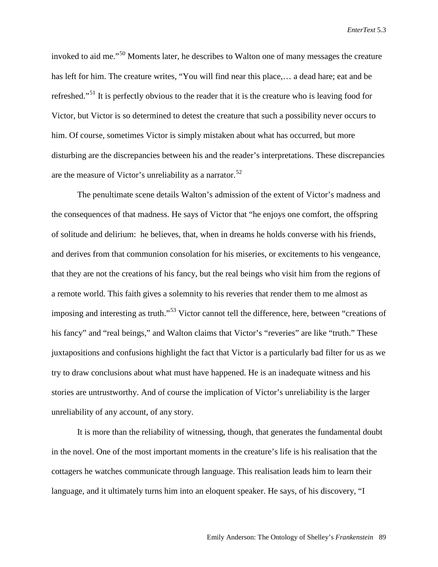invoked to aid me."[50](#page-23-44) Moments later, he describes to Walton one of many messages the creature has left for him. The creature writes, "You will find near this place,… a dead hare; eat and be refreshed."<sup>[51](#page-23-45)</sup> It is perfectly obvious to the reader that it is the creature who is leaving food for Victor, but Victor is so determined to detest the creature that such a possibility never occurs to him. Of course, sometimes Victor is simply mistaken about what has occurred, but more disturbing are the discrepancies between his and the reader's interpretations. These discrepancies are the measure of Victor's unreliability as a narrator.<sup>[52](#page-23-46)</sup>

The penultimate scene details Walton's admission of the extent of Victor's madness and the consequences of that madness. He says of Victor that "he enjoys one comfort, the offspring of solitude and delirium: he believes, that, when in dreams he holds converse with his friends, and derives from that communion consolation for his miseries, or excitements to his vengeance, that they are not the creations of his fancy, but the real beings who visit him from the regions of a remote world. This faith gives a solemnity to his reveries that render them to me almost as imposing and interesting as truth."<sup>[53](#page-23-47)</sup> Victor cannot tell the difference, here, between "creations of his fancy" and "real beings," and Walton claims that Victor's "reveries" are like "truth." These juxtapositions and confusions highlight the fact that Victor is a particularly bad filter for us as we try to draw conclusions about what must have happened. He is an inadequate witness and his stories are untrustworthy. And of course the implication of Victor's unreliability is the larger unreliability of any account, of any story.

It is more than the reliability of witnessing, though, that generates the fundamental doubt in the novel. One of the most important moments in the creature's life is his realisation that the cottagers he watches communicate through language. This realisation leads him to learn their language, and it ultimately turns him into an eloquent speaker. He says, of his discovery, "I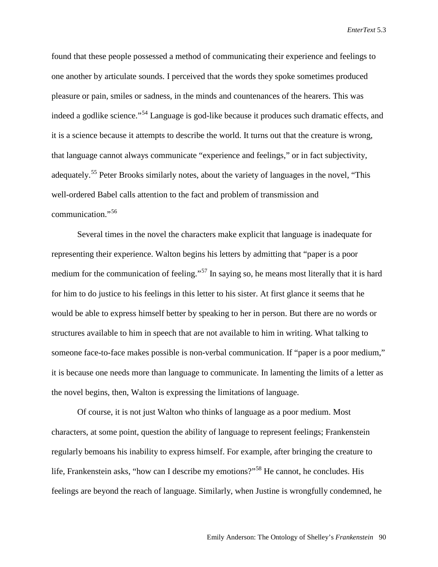found that these people possessed a method of communicating their experience and feelings to one another by articulate sounds. I perceived that the words they spoke sometimes produced pleasure or pain, smiles or sadness, in the minds and countenances of the hearers. This was indeed a godlike science."<sup>[54](#page-23-48)</sup> Language is god-like because it produces such dramatic effects, and it is a science because it attempts to describe the world. It turns out that the creature is wrong, that language cannot always communicate "experience and feelings," or in fact subjectivity, adequately.<sup>[55](#page-23-49)</sup> Peter Brooks similarly notes, about the variety of languages in the novel, "This well-ordered Babel calls attention to the fact and problem of transmission and communication."[56](#page-23-50)

Several times in the novel the characters make explicit that language is inadequate for representing their experience. Walton begins his letters by admitting that "paper is a poor medium for the communication of feeling."<sup>[57](#page-23-51)</sup> In saying so, he means most literally that it is hard for him to do justice to his feelings in this letter to his sister. At first glance it seems that he would be able to express himself better by speaking to her in person. But there are no words or structures available to him in speech that are not available to him in writing. What talking to someone face-to-face makes possible is non-verbal communication. If "paper is a poor medium," it is because one needs more than language to communicate. In lamenting the limits of a letter as the novel begins, then, Walton is expressing the limitations of language.

Of course, it is not just Walton who thinks of language as a poor medium. Most characters, at some point, question the ability of language to represent feelings; Frankenstein regularly bemoans his inability to express himself. For example, after bringing the creature to life, Frankenstein asks, "how can I describe my emotions?"[58](#page-23-52) He cannot, he concludes. His feelings are beyond the reach of language. Similarly, when Justine is wrongfully condemned, he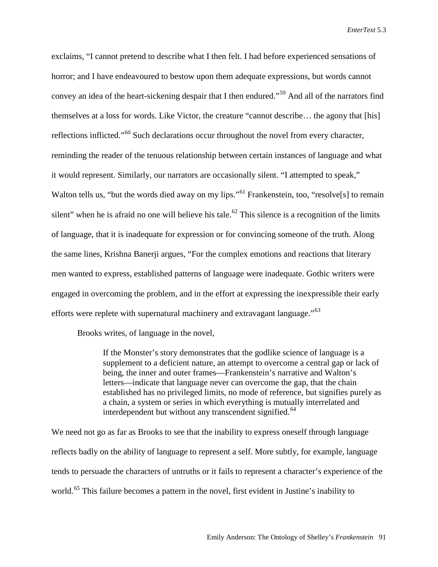exclaims, "I cannot pretend to describe what I then felt. I had before experienced sensations of horror; and I have endeavoured to bestow upon them adequate expressions, but words cannot convey an idea of the heart-sickening despair that I then endured."[59](#page-23-53) And all of the narrators find themselves at a loss for words. Like Victor, the creature "cannot describe… the agony that [his] reflections inflicted."[60](#page-23-20) Such declarations occur throughout the novel from every character, reminding the reader of the tenuous relationship between certain instances of language and what it would represent. Similarly, our narrators are occasionally silent. "I attempted to speak," Walton tells us, "but the words died away on my lips."<sup>[61](#page-23-21)</sup> Frankenstein, too, "resolve<sup>[s]</sup> to remain silent" when he is afraid no one will believe his tale.<sup>[62](#page-23-22)</sup> This silence is a recognition of the limits of language, that it is inadequate for expression or for convincing someone of the truth. Along the same lines, Krishna Banerji argues, "For the complex emotions and reactions that literary men wanted to express, established patterns of language were inadequate. Gothic writers were engaged in overcoming the problem, and in the effort at expressing the inexpressible their early efforts were replete with supernatural machinery and extravagant language."[63](#page-23-54)

Brooks writes, of language in the novel,

If the Monster's story demonstrates that the godlike science of language is a supplement to a deficient nature, an attempt to overcome a central gap or lack of being, the inner and outer frames—Frankenstein's narrative and Walton's letters—indicate that language never can overcome the gap, that the chain established has no privileged limits, no mode of reference, but signifies purely as a chain, a system or series in which everything is mutually interrelated and interdependent but without any transcendent signified.<sup>[64](#page-23-55)</sup>

We need not go as far as Brooks to see that the inability to express oneself through language reflects badly on the ability of language to represent a self. More subtly, for example, language tends to persuade the characters of untruths or it fails to represent a character's experience of the world.<sup>[65](#page-23-56)</sup> This failure becomes a pattern in the novel, first evident in Justine's inability to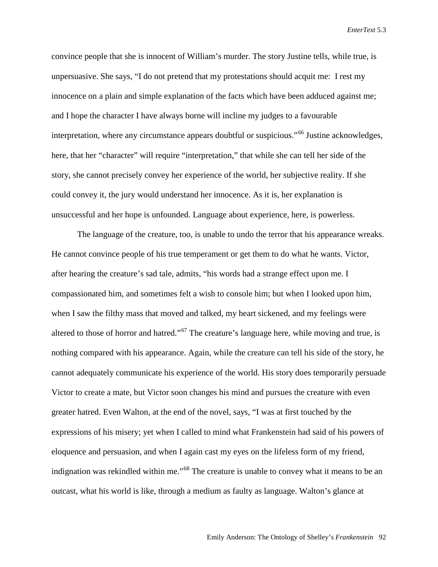convince people that she is innocent of William's murder. The story Justine tells, while true, is unpersuasive. She says, "I do not pretend that my protestations should acquit me: I rest my innocence on a plain and simple explanation of the facts which have been adduced against me; and I hope the character I have always borne will incline my judges to a favourable interpretation, where any circumstance appears doubtful or suspicious."<sup>[66](#page-23-25)</sup> Justine acknowledges, here, that her "character" will require "interpretation," that while she can tell her side of the story, she cannot precisely convey her experience of the world, her subjective reality. If she could convey it, the jury would understand her innocence. As it is, her explanation is unsuccessful and her hope is unfounded. Language about experience, here, is powerless.

The language of the creature, too, is unable to undo the terror that his appearance wreaks. He cannot convince people of his true temperament or get them to do what he wants. Victor, after hearing the creature's sad tale, admits, "his words had a strange effect upon me. I compassionated him, and sometimes felt a wish to console him; but when I looked upon him, when I saw the filthy mass that moved and talked, my heart sickened, and my feelings were altered to those of horror and hatred."<sup>[67](#page-23-26)</sup> The creature's language here, while moving and true, is nothing compared with his appearance. Again, while the creature can tell his side of the story, he cannot adequately communicate his experience of the world. His story does temporarily persuade Victor to create a mate, but Victor soon changes his mind and pursues the creature with even greater hatred. Even Walton, at the end of the novel, says, "I was at first touched by the expressions of his misery; yet when I called to mind what Frankenstein had said of his powers of eloquence and persuasion, and when I again cast my eyes on the lifeless form of my friend, indignation was rekindled within me."<sup>[68](#page-23-27)</sup> The creature is unable to convey what it means to be an outcast, what his world is like, through a medium as faulty as language. Walton's glance at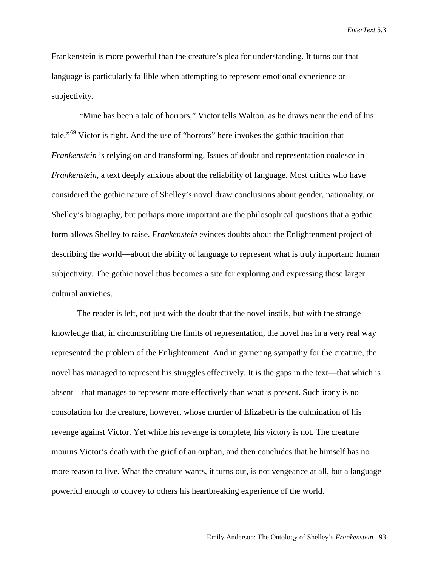Frankenstein is more powerful than the creature's plea for understanding. It turns out that language is particularly fallible when attempting to represent emotional experience or subjectivity.

"Mine has been a tale of horrors," Victor tells Walton, as he draws near the end of his tale."<sup>[69](#page-23-28)</sup> Victor is right. And the use of "horrors" here invokes the gothic tradition that *Frankenstein* is relying on and transforming. Issues of doubt and representation coalesce in *Frankenstein*, a text deeply anxious about the reliability of language. Most critics who have considered the gothic nature of Shelley's novel draw conclusions about gender, nationality, or Shelley's biography, but perhaps more important are the philosophical questions that a gothic form allows Shelley to raise. *Frankenstein* evinces doubts about the Enlightenment project of describing the world—about the ability of language to represent what is truly important: human subjectivity. The gothic novel thus becomes a site for exploring and expressing these larger cultural anxieties.

The reader is left, not just with the doubt that the novel instils, but with the strange knowledge that, in circumscribing the limits of representation, the novel has in a very real way represented the problem of the Enlightenment. And in garnering sympathy for the creature, the novel has managed to represent his struggles effectively. It is the gaps in the text—that which is absent—that manages to represent more effectively than what is present. Such irony is no consolation for the creature, however, whose murder of Elizabeth is the culmination of his revenge against Victor. Yet while his revenge is complete, his victory is not. The creature mourns Victor's death with the grief of an orphan, and then concludes that he himself has no more reason to live. What the creature wants, it turns out, is not vengeance at all, but a language powerful enough to convey to others his heartbreaking experience of the world.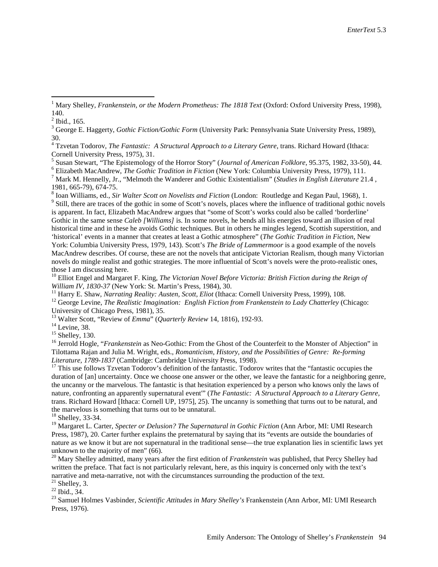1981, 665-79), 674-75.<br><sup>8</sup> Ioan Williams, ed., *Sir Walter Scott on Novelists and Fiction* (London: Routledge and Kegan Paul, 1968), 1.<br><sup>9</sup> Still, there are traces of the gothic in some of Scott's novels, places where the is apparent. In fact, Elizabeth MacAndrew argues that "some of Scott's works could also be called 'borderline' Gothic in the same sense *Caleb [Williams]* is. In some novels, he bends all his energies toward an illusion of real historical time and in these he avoids Gothic techniques. But in others he mingles legend, Scottish superstition, and 'historical' events in a manner that creates at least a Gothic atmosphere" (*The Gothic Tradition in Fiction*, New York: Columbia University Press, 1979, 143). Scott's *The Bride of Lammermoor* is a good example of the novels MacAndrew describes. Of course, these are not the novels that anticipate Victorian Realism, though many Victorian novels do mingle realist and gothic strategies. The more influential of Scott's novels were the proto-realistic ones, those I am discussing here.

<sup>10</sup> Elliot Engel and Margaret F. King, *The Victorian Novel Before Victoria: British Fiction during the Reign of William IV, 1830-37 (New York: St. Martin's Press, 1984), 30.* 

<sup>11</sup> Harry E. Shaw, *Narrating Reality: Austen, Scott, Eliot* (Ithaca: Cornell University Press, 1999), 108.<br><sup>12</sup> George Levine, *The Realistic Imagination: English Fiction from Frankenstein to Lady Chatterley (Chicago: U* 

<sup>13</sup> Walter Scott, "Review of *Emma"* (*Quarterly Review* 14, 1816), 192-93.<br><sup>14</sup> Levine, 38.<br><sup>15</sup> Shelley, 130.<br><sup>15</sup> Jerrold Hogle, "*Frankenstein* as Neo-Gothic: From the Ghost of the Counterfeit to the Monster of Abjec Tilottama Rajan and Julia M. Wright, eds., *Romanticism, History, and the Possibilities of Genre: Re-forming* 

<sup>17</sup> This use follows Tzvetan Todorov's definition of the fantastic. Todorov writes that the "fantastic occupies the duration of [an] uncertainty. Once we choose one answer or the other, we leave the fantastic for a neighboring genre, the uncanny or the marvelous. The fantastic is that hesitation experienced by a person who knows only the laws of nature, confronting an apparently supernatural event'" (*The Fantastic: A Structural Approach to a Literary Genre*, trans. Richard Howard [Ithaca: Cornell UP, 1975], 25). The uncanny is something that turns out to be natural, and the marvelous is something that turns out to be unnatural. 18 Shelley, 33-34.

<sup>19</sup> Margaret L. Carter, *Specter or Delusion? The Supernatural in Gothic Fiction* (Ann Arbor, MI: UMI Research Press, 1987), 20. Carter further explains the preternatural by saying that its "events are outside the boundaries of nature as we know it but are not supernatural in the traditional sense—the true explanation lies in scientific laws yet unknown to the majority of men" (66). 20 Mary Shelley admitted, many years after the first edition of *Frankenstein* was published, that Percy Shelley had

written the preface. That fact is not particularly relevant, here, as this inquiry is concerned only with the text's narrative and meta-narrative, not with the circumstances surrounding the production of the text.<br>
<sup>21</sup> Shelley, 3.<br>
<sup>22</sup> Ibid., 34.<br>
<sup>23</sup> Samuel Holmes Vasbinder, *Scientific Attitudes in Mary Shelley's* Frankenstein (Ann

Press, 1976).

<span id="page-21-1"></span><span id="page-21-0"></span><sup>&</sup>lt;sup>1</sup> Mary Shelley, *Frankenstein, or the Modern Prometheus: The 1818 Text* (Oxford: Oxford University Press, 1998),  $140.$ <sup>2</sup> Ibid., 165.

<sup>3</sup> George E. Haggerty, *Gothic Fiction/Gothic Form* (University Park: Pennsylvania State University Press, 1989), 30.

<sup>&</sup>lt;sup>4</sup> Tzvetan Todorov, *The Fantastic: A Structural Approach to a Literary Genre*, trans. Richard Howard (Ithaca: Cornell University Press, 1975), 31.

<sup>&</sup>lt;sup>5</sup> Susan Stewart, "The Epistemology of the Horror Story" (*Journal of American Folklore*, 95.375, 1982, 33-50), 44.<br><sup>6</sup> Elizabeth MacAndrew, *The Gothic Tradition in Fiction* (New York: Columbia University Press, 1979),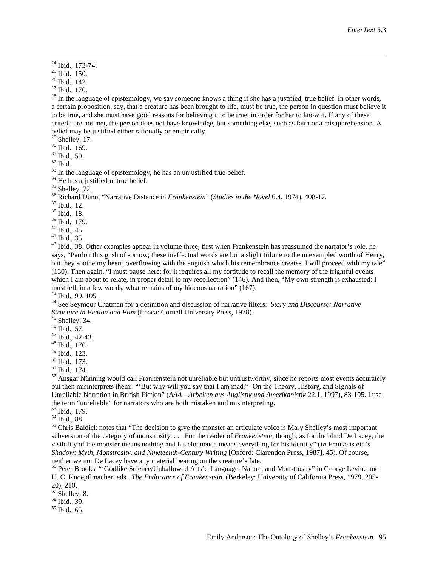<sup>24</sup> Ibid., 173-74.<br><sup>25</sup> Ibid., 150.<br><sup>26</sup> Ibid., 142.<br><sup>27</sup> Ibid., 170.<br><sup>28</sup> In the language of epistemology, we say someone knows a thing if she has a justified, true belief. In other words, a certain proposition, say, that a creature has been brought to life, must be true, the person in question must believe it to be true, and she must have good reasons for believing it to be true, in order for her to know it. If any of these criteria are not met, the person does not have knowledge, but something else, such as faith or a misapprehension. A

<span id="page-22-2"></span>

<span id="page-22-1"></span>belief may be justified either rationally or empirically.<br><sup>29</sup> Shelley, 17.<br><sup>30</sup> Ibid., 169.<br><sup>31</sup> Ibid., 59.<br><sup>32</sup> Ibid.<br><sup>33</sup> In the language of epistemology, he has an unjustified true belief.<br><sup>34</sup> He has a justified untru

<sup>39</sup> Ibid., 179.<br><sup>40</sup> Ibid., 45.<br><sup>41</sup> Ibid., 35.<br><sup>42</sup> Ibid., 38. Other examples appear in volume three, first when Frankenstein has reassumed the narrator's role, he says, "Pardon this gush of sorrow; these ineffectual words are but a slight tribute to the unexampled worth of Henry, but they soothe my heart, overflowing with the anguish which his remembrance creates. I will proceed with my tale" (130). Then again, "I must pause here; for it requires all my fortitude to recall the memory of the frightful events which I am about to relate, in proper detail to my recollection" (146). And then, "My own strength is exhausted; I must tell, in a few words, what remains of my hideous narration" (167).<br><sup>43</sup> Ibid., 99, 105.

<sup>44</sup> See Seymour Chatman for a definition and discussion of narrative filters: *Story and Discourse: Narrative Structure in Fiction and Film* (Ithaca: Cornell University Press, 1978).<br><sup>45</sup> Shelley, 34.<br><sup>46</sup> Ibid., 57.<br><sup>47</sup> Ibid., 42-43.<br><sup>48</sup> Ibid., 170.<br><sup>49</sup> Ibid., 123.

<sup>50</sup> Ibid., 173.<br><sup>51</sup> Ibid., 174.<br><sup>52</sup> Ansgar Nünning would call Frankenstein not unreliable but untrustworthy, since he reports most events accurately but then misinterprets them: "'But why will you say that I am mad?' On the Theory, History, and Signals of Unreliable Narration in British Fiction" (*AAA—Arbeiten aus Anglistik und Amerikanistik* 22.1, 1997), 83-105. I use the term "unreliable" for narrators who are both mistaken and misinterpreting.<br><sup>53</sup> Ibid., 179.<br><sup>54</sup> Ibid., 88.<br><sup>55</sup> Chris Baldick notes that "The decision to give the monster an articulate voice is Mary Shelley's most imp

subversion of the category of monstrosity. . . . For the reader of *Frankenstein*, though, as for the blind De Lacey, the visibility of the monster means nothing and his eloquence means everything for his identity" (*In* Frankenstein*'s Shadow: Myth, Monstrosity, and Nineteenth-Century Writing* [Oxford: Clarendon Press, 1987], 45). Of course, neither we nor De Lacey have any material bearing on the creature's fate.

<sup>56</sup> Peter Brooks, "'Godlike Science/Unhallowed Arts': Language, Nature, and Monstrosity" in George Levine and U. C. Knoepflmacher, eds., *The Endurance of Frankenstein* (Berkeley: University of California Press, 1979, 205-

 $\frac{57}{58}$  Shelley, 8. 58 Ibid., 39.

 $<sup>59</sup>$  Ibid., 65.</sup>

<span id="page-22-0"></span>